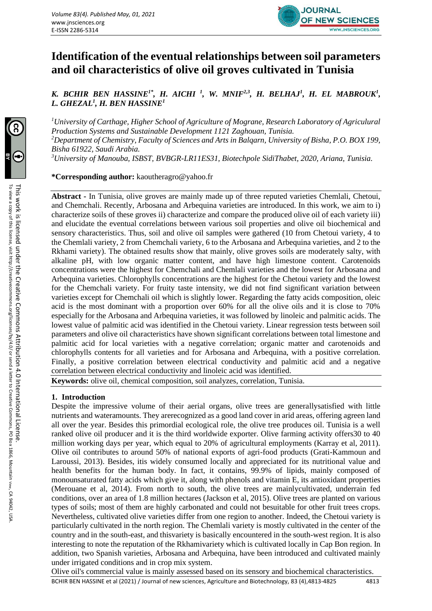

# **Identification of the eventual relationships between soil parameters and oil characteristics of olive oil groves cultivated in Tunisia**

*K. BCHIR BEN HASSINE1\* , H. AICHI <sup>1</sup> , W. MNIF2,3, H. BELHAJ<sup>1</sup> , H. EL MABROUK<sup>1</sup> , L. GHEZAL<sup>1</sup> , H. BEN HASSINE<sup>1</sup>*

*<sup>1</sup>University of Carthage, Higher School of Agriculture of Mograne, Research Laboratory of Agriculural Production Systems and Sustainable Development 1121 Zaghouan, Tunisia. <sup>2</sup>Department of Chemistry, Faculty of Sciences and Arts in Balqarn, University of Bisha, P.O. BOX 199, Bisha 61922, Saudi Arabia. <sup>3</sup>University of Manouba, ISBST, BVBGR-LR11ES31, Biotechpole SidiThabet, 2020, Ariana, Tunisia.*

**\*Corresponding author:** kaoutheragro@yahoo.fr

**Abstract -** In Tunisia, olive groves are mainly made up of three reputed varieties Chemlali, Chetoui, and Chemchali. Recently, Arbosana and Arbequina varieties are introduced. In this work, we aim to i) characterize soils of these groves ii) characterize and compare the produced olive oil of each variety iii) and elucidate the eventual correlations between various soil properties and olive oil biochemical and sensory characteristics. Thus, soil and olive oil samples were gathered (10 from Chetoui variety, 4 to the Chemlali variety, 2 from Chemchali variety, 6 to the Arbosana and Arbequina varieties, and 2 to the Rkhami variety). The obtained results show that mainly, olive groves soils are moderately salty, with alkaline pH, with low organic matter content, and have high limestone content. Carotenoids concentrations were the highest for Chemchali and Chemlali varieties and the lowest for Arbosana and Arbequina varieties. Chlorophylls concentrations are the highest for the Chetoui variety and the lowest for the Chemchali variety. For fruity taste intensity, we did not find significant variation between varieties except for Chemchali oil which is slightly lower. Regarding the fatty acids composition, oleic acid is the most dominant with a proportion over 60% for all the olive oils and it is close to 70% especially for the Arbosana and Arbequina varieties, it was followed by linoleic and palmitic acids. The lowest value of palmitic acid was identified in the Chetoui variety. Linear regression tests between soil parameters and olive oil characteristics have shown significant correlations between total limestone and palmitic acid for local varieties with a negative correlation; organic matter and carotenoids and chlorophylls contents for all varieties and for Arbosana and Arbequina, with a positive correlation. Finally, a positive correlation between electrical conductivity and palmitic acid and a negative correlation between electrical conductivity and linoleic acid was identified.

**Keywords:** olive oil, chemical composition, soil analyzes, correlation, Tunisia.

#### **1. Introduction**

Despite the impressive volume of their aerial organs, olive trees are generallysatisfied with little nutrients and wateramounts. They arerecognized as a good land cover in arid areas, offering agreen land all over the year. Besides this primordial ecological role, the olive tree produces oil. Tunisia is a well ranked olive oil producer and it is the third worldwide exporter. Olive farming activity offers30 to 40 million working days per year, which equal to 20% of agricultural employments (Karray et al, 2011). Olive oil contributes to around 50% of national exports of agri-food products (Grati-Kammoun and Laroussi, 2013). Besides, itis widely consumed locally and appreciated for its nutritional value and health benefits for the human body. In fact, it contains, 99.9% of lipids, mainly composed of monounsaturated fatty acids which give it, along with phenols and vitamin E, its antioxidant properties (Merouane et al, 2014). From north to south, the olive trees are mainlycultivated, underrain fed conditions, over an area of 1.8 million hectares (Jackson et al, 2015). Olive trees are planted on various types of soils; most of them are highly carbonated and could not besuitable for other fruit trees crops. Nevertheless, cultivated olive varieties differ from one region to another. Indeed, the Chetoui variety is particularly cultivated in the north region. The Chemlali variety is mostly cultivated in the center of the country and in the south-east, and thisvariety is basically encountered in the south-west region. It is also interesting to note the reputation of the Rkhamivariety which is cultivated locally in Cap Bon region. In addition, two Spanish varieties, Arbosana and Arbequina, have been introduced and cultivated mainly under irrigated conditions and in crop mix system.

Olive oil's commercial value is mainly assessed based on its sensory and biochemical characteristics.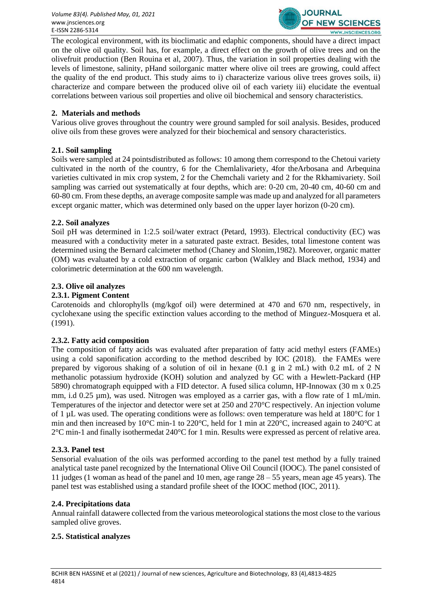

The ecological environment, with its bioclimatic and edaphic components, should have a direct impact on the olive oil quality. Soil has, for example, a direct effect on the growth of olive trees and on the olivefruit production (Ben Rouina et al, 2007). Thus, the variation in soil properties dealing with the levels of limestone, salinity, pHand soilorganic matter where olive oil trees are growing, could affect the quality of the end product. This study aims to i) characterize various olive trees groves soils, ii) characterize and compare between the produced olive oil of each variety iii) elucidate the eventual correlations between various soil properties and olive oil biochemical and sensory characteristics.

#### **2. Materials and methods**

Various olive groves throughout the country were ground sampled for soil analysis. Besides, produced olive oils from these groves were analyzed for their biochemical and sensory characteristics.

#### **2.1. Soil sampling**

Soils were sampled at 24 pointsdistributed as follows: 10 among them correspond to the Chetoui variety cultivated in the north of the country, 6 for the Chemlalivariety, 4for theArbosana and Arbequina varieties cultivated in mix crop system, 2 for the Chemchali variety and 2 for the Rkhamivariety. Soil sampling was carried out systematically at four depths, which are: 0-20 cm, 20-40 cm, 40-60 cm and 60-80 cm. From these depths, an average composite sample was made up and analyzed for all parameters except organic matter, which was determined only based on the upper layer horizon (0-20 cm).

#### **2.2. Soil analyzes**

Soil pH was determined in 1:2.5 soil/water extract (Petard, 1993). Electrical conductivity (EC) was measured with a conductivity meter in a saturated paste extract. Besides, total limestone content was determined using the Bernard calcimeter method (Chaney and Slonim,1982). Moreover, organic matter (OM) was evaluated by a cold extraction of organic carbon (Walkley and Black method, 1934) and colorimetric determination at the 600 nm wavelength.

#### **2.3. Olive oil analyzes**

#### **2.3.1. Pigment Content**

Carotenoids and chlorophylls (mg/kgof oil) were determined at 470 and 670 nm, respectively, in cyclohexane using the specific extinction values according to the method of Minguez-Mosquera et al. (1991).

#### **2.3.2. Fatty acid composition**

The composition of fatty acids was evaluated after preparation of fatty acid methyl esters (FAMEs) using a cold saponification according to the method described by IOC (2018). the FAMEs were prepared by vigorous shaking of a solution of oil in hexane  $(0.1 \text{ g in } 2 \text{ mL})$  with 0.2 mL of 2 N methanolic potassium hydroxide (KOH) solution and analyzed by GC with a Hewlett-Packard (HP 5890) chromatograph equipped with a FID detector. A fused silica column, HP-Innowax (30 m x 0.25 mm, i.d  $0.25 \mu m$ ), was used. Nitrogen was employed as a carrier gas, with a flow rate of 1 mL/min. Temperatures of the injector and detector were set at 250 and 270°C respectively. An injection volume of 1 µL was used. The operating conditions were as follows: oven temperature was held at 180°C for 1 min and then increased by 10°C min-1 to 220°C, held for 1 min at 220°C, increased again to 240°C at 2°C min-1 and finally isothermedat 240°C for 1 min. Results were expressed as percent of relative area.

#### **2.3.3. Panel test**

Sensorial evaluation of the oils was performed according to the panel test method by a fully trained analytical taste panel recognized by the International Olive Oil Council (IOOC). The panel consisted of 11 judges (1 woman as head of the panel and 10 men, age range 28 – 55 years, mean age 45 years). The panel test was established using a standard profile sheet of the IOOC method (IOC, 2011).

#### **2.4. Precipitations data**

Annual rainfall datawere collected from the various meteorological stations the most close to the various sampled olive groves.

#### **2.5. Statistical analyzes**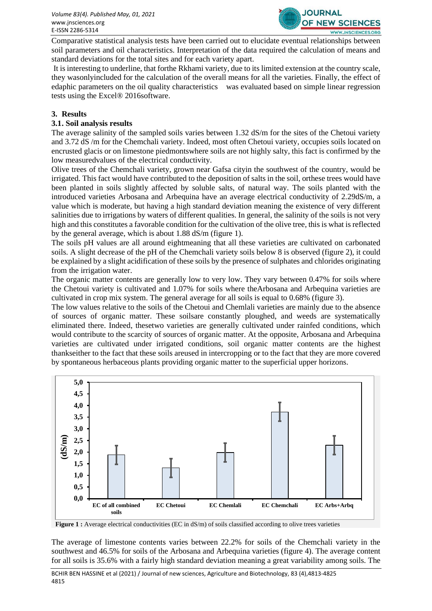

Comparative statistical analysis tests have been carried out to elucidate eventual relationships between soil parameters and oil characteristics. Interpretation of the data required the calculation of means and standard deviations for the total sites and for each variety apart.

It is interesting to underline, that forthe Rkhami variety, due to its limited extension at the country scale, they wasonlyincluded for the calculation of the overall means for all the varieties. Finally, the effect of edaphic parameters on the oil quality characteristics was evaluated based on simple linear regression tests using the Excel® 2016software.

#### **3. Results**

#### **3.1. Soil analysis results**

The average salinity of the sampled soils varies between 1.32 dS/m for the sites of the Chetoui variety and 3.72 dS /m for the Chemchali variety. Indeed, most often Chetoui variety, occupies soils located on encrusted glacis or on limestone piedmontswhere soils are not highly salty, this fact is confirmed by the low measuredvalues of the electrical conductivity.

Olive trees of the Chemchali variety, grown near Gafsa cityin the southwest of the country, would be irrigated. This fact would have contributed to the deposition of salts in the soil, orthese trees would have been planted in soils slightly affected by soluble salts, of natural way. The soils planted with the introduced varieties Arbosana and Arbequina have an average electrical conductivity of 2.29dS/m, a value which is moderate, but having a high standard deviation meaning the existence of very different salinities due to irrigations by waters of different qualities. In general, the salinity of the soils is not very high and this constitutes a favorable condition for the cultivation of the olive tree, this is what is reflected by the general average, which is about 1.88 dS/m (figure 1).

The soils pH values are all around eightmeaning that all these varieties are cultivated on carbonated soils. A slight decrease of the pH of the Chemchali variety soils below 8 is observed (figure 2), it could be explained by a slight acidification of these soils by the presence of sulphates and chlorides originating from the irrigation water.

The organic matter contents are generally low to very low. They vary between 0.47% for soils where the Chetoui variety is cultivated and 1.07% for soils where theArbosana and Arbequina varieties are cultivated in crop mix system. The general average for all soils is equal to 0.68% (figure 3).

The low values relative to the soils of the Chetoui and Chemlali varieties are mainly due to the absence of sources of organic matter. These soilsare constantly ploughed, and weeds are systematically eliminated there. Indeed, thesetwo varieties are generally cultivated under rainfed conditions, which would contribute to the scarcity of sources of organic matter. At the opposite, Arbosana and Arbequina varieties are cultivated under irrigated conditions, soil organic matter contents are the highest thankseither to the fact that these soils areused in intercropping or to the fact that they are more covered by spontaneous herbaceous plants providing organic matter to the superficial upper horizons.



**Figure 1 :** Average electrical conductivities (EC in dS/m) of soils classified according to olive trees varieties

The average of limestone contents varies between 22.2% for soils of the Chemchali variety in the southwest and 46.5% for soils of the Arbosana and Arbequina varieties (figure 4). The average content for all soils is 35.6% with a fairly high standard deviation meaning a great variability among soils. The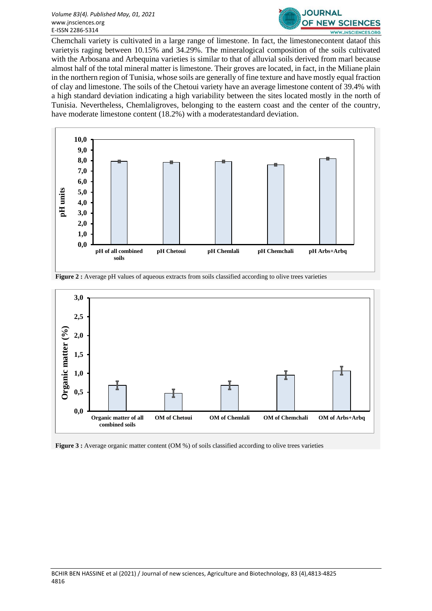#### *Volume 83(4). Published May, 01, 2021* www.jnsciences.org E-ISSN 2286-5314



Chemchali variety is cultivated in a large range of limestone. In fact, the limestonecontent dataof this varietyis raging between 10.15% and 34.29%. The mineralogical composition of the soils cultivated with the Arbosana and Arbequina varieties is similar to that of alluvial soils derived from marl because almost half of the total mineral matter is limestone. Their groves are located, in fact, in the Miliane plain in the northern region of Tunisia, whose soils are generally of fine texture and have mostly equal fraction of clay and limestone. The soils of the Chetoui variety have an average limestone content of 39.4% with a high standard deviation indicating a high variability between the sites located mostly in the north of Tunisia. Nevertheless, Chemlaligroves, belonging to the eastern coast and the center of the country, have moderate limestone content (18.2%) with a moderatestandard deviation.





**Figure 2:** Average pH values of aqueous extracts from soils classified according to olive trees varieties

**Figure 3 :** Average organic matter content (OM %) of soils classified according to olive trees varieties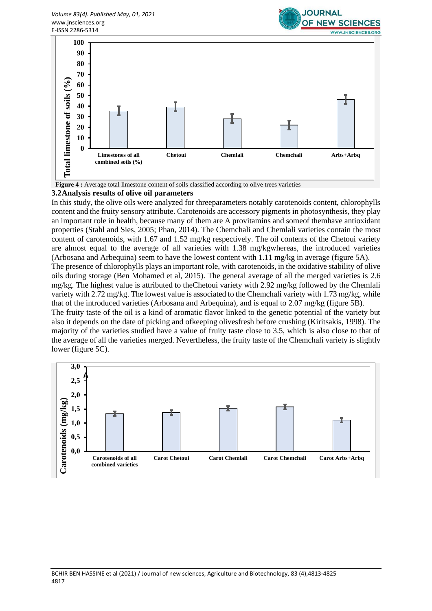



**Figure 4 :** Average total limestone content of soils classified according to olive trees varieties

#### **3.2Analysis results of olive oil parameters**

In this study, the olive oils were analyzed for threeparameters notably carotenoids content, chlorophylls content and the fruity sensory attribute. Carotenoids are accessory pigments in photosynthesis, they play an important role in health, because many of them are A provitamins and someof themhave antioxidant properties (Stahl and Sies, 2005; Phan, 2014). The Chemchali and Chemlali varieties contain the most content of carotenoids, with 1.67 and 1.52 mg/kg respectively. The oil contents of the Chetoui variety are almost equal to the average of all varieties with 1.38 mg/kgwhereas, the introduced varieties (Arbosana and Arbequina) seem to have the lowest content with 1.11 mg/kg in average (figure 5A).

The presence of chlorophylls plays an important role, with carotenoids, in the oxidative stability of olive oils during storage (Ben Mohamed et al, 2015). The general average of all the merged varieties is 2.6 mg/kg. The highest value is attributed to theChetoui variety with 2.92 mg/kg followed by the Chemlali variety with 2.72 mg/kg. The lowest value is associated to the Chemchali variety with 1.73 mg/kg, while that of the introduced varieties (Arbosana and Arbequina), and is equal to 2.07 mg/kg (figure 5B).

The fruity taste of the oil is a kind of aromatic flavor linked to the genetic potential of the variety but also it depends on the date of picking and ofkeeping olivesfresh before crushing (Kiritsakis, 1998). The majority of the varieties studied have a value of fruity taste close to 3.5, which is also close to that of the average of all the varieties merged. Nevertheless, the fruity taste of the Chemchali variety is slightly lower (figure 5C).

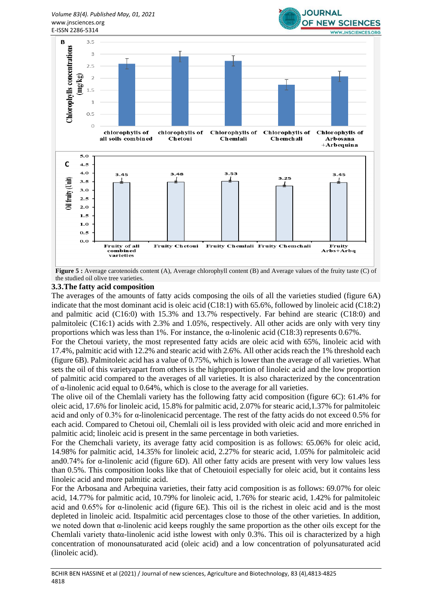## *Volume 83(4). Published May, 01, 2021* www.jnsciences.org



**JOURNAL** 

**Figure 5 :** Average carotenoids content (A), Average chlorophyll content (B) and Average values of the fruity taste (C) of the studied oil olive tree varieties.

#### **3.3.The fatty acid composition**

The averages of the amounts of fatty acids composing the oils of all the varieties studied (figure 6A) indicate that the most dominant acid is oleic acid (C18:1) with 65.6%, followed by linoleic acid (C18:2) and palmitic acid (C16:0) with 15.3% and 13.7% respectively. Far behind are stearic (C18:0) and palmitoleic (C16:1) acids with 2.3% and 1.05%, respectively. All other acids are only with very tiny proportions which was less than 1%. For instance, the α-linolenic acid (C18:3) represents 0.67%.

For the Chetoui variety, the most represented fatty acids are oleic acid with 65%, linoleic acid with 17.4%, palmitic acid with 12.2% and stearic acid with 2.6%. All other acids reach the 1% threshold each (figure 6B). Palmitoleic acid has a value of 0.75%, which is lower than the average of all varieties. What sets the oil of this varietyapart from others is the highproportion of linoleic acid and the low proportion of palmitic acid compared to the averages of all varieties. It is also characterized by the concentration of α-linolenic acid equal to 0.64%, which is close to the average for all varieties.

The olive oil of the Chemlali variety has the following fatty acid composition (figure 6C): 61.4% for oleic acid, 17.6% for linoleic acid, 15.8% for palmitic acid, 2.07% for stearic acid,1.37% for palmitoleic acid and only of 0.3% for α-linolenicacid percentage. The rest of the fatty acids do not exceed 0.5% for each acid. Compared to Chetoui oil, Chemlali oil is less provided with oleic acid and more enriched in palmitic acid; linoleic acid is present in the same percentage in both varieties.

For the Chemchali variety, its average fatty acid composition is as follows: 65.06% for oleic acid, 14.98% for palmitic acid, 14.35% for linoleic acid, 2.27% for stearic acid, 1.05% for palmitoleic acid and0.74% for α-linolenic acid (figure 6D). All other fatty acids are present with very low values less than 0.5%. This composition looks like that of Chetouioil especially for oleic acid, but it contains less linoleic acid and more palmitic acid.

For the Arbosana and Arbequina varieties, their fatty acid composition is as follows: 69.07% for oleic acid, 14.77% for palmitic acid, 10.79% for linoleic acid, 1.76% for stearic acid, 1.42% for palmitoleic acid and 0.65% for α-linolenic acid (figure 6E). This oil is the richest in oleic acid and is the most depleted in linoleic acid. Itspalmitic acid percentages close to those of the other varieties. In addition, we noted down that α-linolenic acid keeps roughly the same proportion as the other oils except for the Chemlali variety thatα-linolenic acid isthe lowest with only 0.3%. This oil is characterized by a high concentration of monounsaturated acid (oleic acid) and a low concentration of polyunsaturated acid (linoleic acid).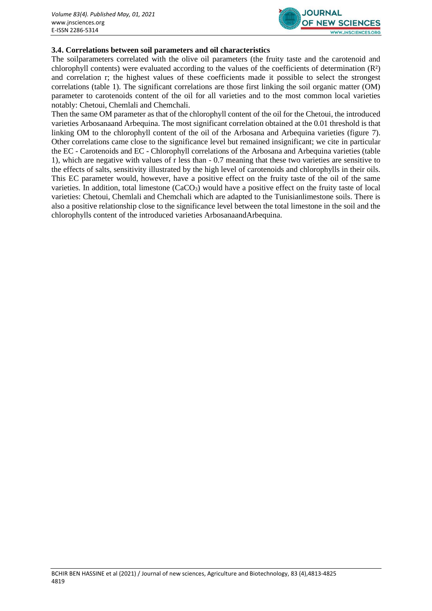

### **3.4. Correlations between soil parameters and oil characteristics**

The soilparameters correlated with the olive oil parameters (the fruity taste and the carotenoid and chlorophyll contents) were evaluated according to the values of the coefficients of determination (R²) and correlation r; the highest values of these coefficients made it possible to select the strongest correlations (table 1). The significant correlations are those first linking the soil organic matter (OM) parameter to carotenoids content of the oil for all varieties and to the most common local varieties notably: Chetoui, Chemlali and Chemchali.

Then the same OM parameter as that of the chlorophyll content of the oil for the Chetoui, the introduced varieties Arbosanaand Arbequina. The most significant correlation obtained at the 0.01 threshold is that linking OM to the chlorophyll content of the oil of the Arbosana and Arbequina varieties (figure 7). Other correlations came close to the significance level but remained insignificant; we cite in particular the EC - Carotenoids and EC - Chlorophyll correlations of the Arbosana and Arbequina varieties (table 1), which are negative with values of r less than - 0.7 meaning that these two varieties are sensitive to the effects of salts, sensitivity illustrated by the high level of carotenoids and chlorophylls in their oils. This EC parameter would, however, have a positive effect on the fruity taste of the oil of the same varieties. In addition, total limestone  $(CaCO<sub>3</sub>)$  would have a positive effect on the fruity taste of local varieties: Chetoui, Chemlali and Chemchali which are adapted to the Tunisianlimestone soils. There is also a positive relationship close to the significance level between the total limestone in the soil and the chlorophylls content of the introduced varieties ArbosanaandArbequina.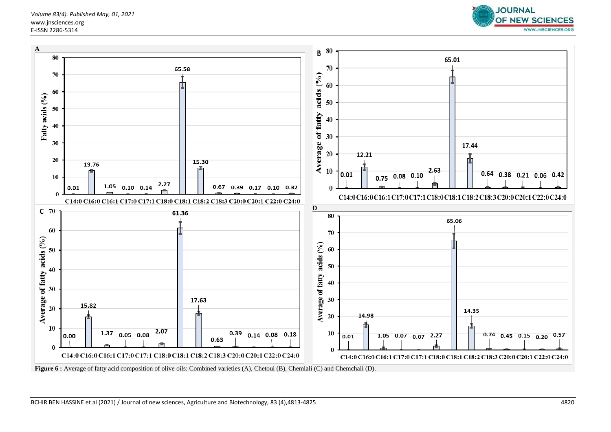*Volume 83(4). Published May, 01, 2021* www.jnsciences.org E-ISSN 2286-5314





**Figure 6 :** Average of fatty acid composition of olive oils: Combined varieties (A), Chetoui (B), Chemlali (C) and Chemchali (D).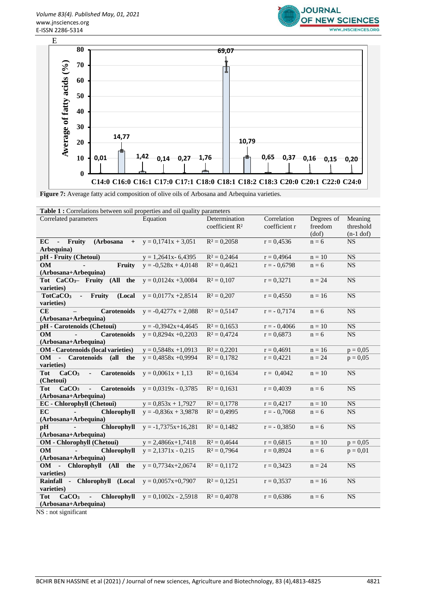



**Figure 7:** Average fatty acid composition of olive oils of Arbosana and Arbequina varieties.

| Table 1 : Correlations between soil properties and oil quality parameters |                         |                                             |                              |                                |                                     |  |
|---------------------------------------------------------------------------|-------------------------|---------------------------------------------|------------------------------|--------------------------------|-------------------------------------|--|
| Correlated parameters                                                     | Equation                | Determination<br>coefficient R <sup>2</sup> | Correlation<br>coefficient r | Degrees of<br>freedom<br>(dof) | Meaning<br>threshold<br>$(n-1$ dof) |  |
| EC<br>(Arbosana<br>$\mathcal{L}^{\mathcal{L}}$<br>Fruity                  | $+ y = 0,1741x + 3,051$ | $R^2 = 0,2058$                              | $r = 0.4536$                 | $n = 6$                        | <b>NS</b>                           |  |
| Arbequina)                                                                |                         |                                             |                              |                                |                                     |  |
| pH - Fruity (Chetoui)                                                     | $y = 1,2641x - 6,4395$  | $R^2 = 0,2464$                              | $r = 0,4964$                 | $n = 10$                       | <b>NS</b>                           |  |
| <b>OM</b><br>Fruity                                                       | $y = -0.528x + 4.0148$  | $R^2 = 0.4621$                              | $r = -0.6798$                | $n = 6$                        | <b>NS</b>                           |  |
| (Arbosana+Arbequina)                                                      |                         |                                             |                              |                                |                                     |  |
| Tot CaCO <sub>3</sub> - Fruity (All the                                   | $y = 0.0124x + 3.0084$  | $R^2 = 0,107$                               | $r = 0,3271$                 | $n = 24$                       | <b>NS</b>                           |  |
| varieties)                                                                |                         |                                             |                              |                                |                                     |  |
| - Fruity<br>(Local<br>TotCaCO <sub>3</sub><br>varieties)                  | $y = 0.0177x + 2.8514$  | $R^2 = 0,207$                               | $r = 0,4550$                 | $n = 16$                       | <b>NS</b>                           |  |
| CE<br><b>Carotenoids</b>                                                  | $y = -0.4277x + 2.088$  | $R^2 = 0.5147$                              | $r = -0.7174$                | $n = 6$                        | <b>NS</b>                           |  |
| (Arbosana+Arbequina)                                                      |                         |                                             |                              |                                |                                     |  |
| pH - Carotenoids (Chetoui)                                                | $y = -0.3942x + 4.4645$ | $R^2 = 0,1653$                              | $r = -0,4066$                | $n = 10$                       | <b>NS</b>                           |  |
| <b>Carotenoids</b><br><b>OM</b><br>L.                                     | $y = 0.8294x + 0.2203$  | $R^2 = 0,4724$                              | $r = 0.6873$                 | $n = 6$                        | <b>NS</b>                           |  |
| (Arbosana+Arbequina)                                                      |                         |                                             |                              |                                |                                     |  |
| <b>OM</b> - Carotenoids (local varieties)                                 | $y = 0,5848x + 1,0913$  | $R^2 = 0,2201$                              | $r = 0,4691$                 | $n = 16$                       | $p = 0.05$                          |  |
| OM - Carotenoids (all the                                                 | $y = 0,4858x + 0,9994$  | $R^2 = 0.1782$                              | $r = 0,4221$                 | $n = 24$                       | $p = 0.05$                          |  |
| varieties)                                                                |                         |                                             |                              |                                |                                     |  |
| CaCO <sub>3</sub><br><b>Carotenoids</b><br><b>Tot</b><br>÷,<br>(Chetoui)  | $y = 0,0061x + 1,13$    | $R^2 = 0,1634$                              | $r = 0,4042$                 | $n = 10$                       | <b>NS</b>                           |  |
| <b>Tot</b><br>CaCO <sub>3</sub><br>Carotenoids<br>$\blacksquare$          | $y = 0.0319x - 0.3785$  | $R^2 = 0,1631$                              | $r = 0,4039$                 | $n = 6$                        | <b>NS</b>                           |  |
| (Arbosana+Arbequina)                                                      |                         |                                             |                              |                                |                                     |  |
| <b>EC</b> - Chlorophyll (Chetoui)                                         | $y = 0,853x + 1,7927$   | $R^2 = 0,1778$                              | $r = 0,4217$                 | $n = 10$                       | NS                                  |  |
| EC<br>Chlorophyll<br>$\sim$                                               | $y = -0.836x + 3.9878$  | $R^2 = 0,4995$                              | $r = -0.7068$                | $n = 6$                        | <b>NS</b>                           |  |
| (Arbosana+Arbequina)                                                      |                         |                                             |                              |                                |                                     |  |
| Chlorophyll<br>pH                                                         | $y = -1,7375x+16,281$   | $R^2 = 0,1482$                              | $r = -0,3850$                | $n = 6$                        | <b>NS</b>                           |  |
| (Arbosana+Arbequina)                                                      |                         |                                             |                              |                                |                                     |  |
| <b>OM</b> - Chlorophyll (Chetoui)                                         | $y = 2,4866x+1,7418$    | $R^2 = 0.4644$                              | $r = 0.6815$                 | $n = 10$                       | $p = 0.05$                          |  |
| <b>OM</b><br>Chlorophyll<br>$\mathcal{L}^{\pm}$                           | $y = 2,1371x - 0,215$   | $R^2 = 0,7964$                              | $r = 0,8924$                 | $n = 6$                        | $p = 0.01$                          |  |
| (Arbosana+Arbequina)                                                      |                         |                                             |                              |                                |                                     |  |
| OM - Chlorophyll (All the                                                 | $y = 0.7734x + 2.0674$  | $R^2 = 0,1172$                              | $r = 0,3423$                 | $n = 24$                       | <b>NS</b>                           |  |
| varieties)                                                                |                         |                                             |                              |                                |                                     |  |
| Rainfall - Chlorophyll (Local                                             | $y = 0,0057x+0,7907$    | $R^2 = 0.1251$                              | $r = 0,3537$                 | $n = 16$                       | <b>NS</b>                           |  |
| varieties)                                                                |                         |                                             |                              |                                |                                     |  |
| Chlorophyll<br><b>Tot</b><br>CaCO <sub>3</sub>                            | $y = 0.1002x - 2.5918$  | $R^2 = 0.4078$                              | $r = 0.6386$                 | $n = 6$                        | <b>NS</b>                           |  |
| (Arbosana+Arbequina)                                                      |                         |                                             |                              |                                |                                     |  |

NS : not significant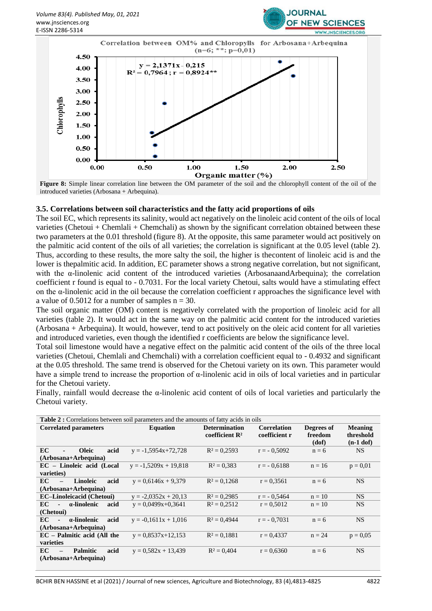



**Figure 8:** Simple linear correlation line between the OM parameter of the soil and the chlorophyll content of the oil of the introduced varieties (Arbosana + Arbequina).

#### **3.5. Correlations between soil characteristics and the fatty acid proportions of oils**

The soil EC, which represents its salinity, would act negatively on the linoleic acid content of the oils of local varieties (Chetoui + Chemlali + Chemchali) as shown by the significant correlation obtained between these two parameters at the 0.01 threshold (figure 8). At the opposite, this same parameter would act positively on the palmitic acid content of the oils of all varieties; the correlation is significant at the 0.05 level (table 2). Thus, according to these results, the more salty the soil, the higher is thecontent of linoleic acid is and the lower is thepalmitic acid. In addition, EC parameter shows a strong negative correlation, but not significant, with the  $\alpha$ -linolenic acid content of the introduced varieties (ArbosanaandArbequina); the correlation coefficient r found is equal to - 0.7031. For the local variety Chetoui, salts would have a stimulating effect on the  $\alpha$ -linolenic acid in the oil because the correlation coefficient r approaches the significance level with a value of 0.5012 for a number of samples  $n = 30$ .

The soil organic matter (OM) content is negatively correlated with the proportion of linoleic acid for all varieties (table 2). It would act in the same way on the palmitic acid content for the introduced varieties (Arbosana + Arbequina). It would, however, tend to act positively on the oleic acid content for all varieties and introduced varieties, even though the identified r coefficients are below the significance level.

Total soil limestone would have a negative effect on the palmitic acid content of the oils of the three local varieties (Chetoui, Chemlali and Chemchali) with a correlation coefficient equal to - 0.4932 and significant at the 0.05 threshold. The same trend is observed for the Chetoui variety on its own. This parameter would have a simple trend to increase the proportion of  $\alpha$ -linolenic acid in oils of local varieties and in particular for the Chetoui variety.

Finally, rainfall would decrease the α-linolenic acid content of oils of local varieties and particularly the Chetoui variety.

| <b>Table 2:</b> Correlations between soil parameters and the amounts of fatty acids in oils |                         |                                                    |                                     |                                |                                            |  |
|---------------------------------------------------------------------------------------------|-------------------------|----------------------------------------------------|-------------------------------------|--------------------------------|--------------------------------------------|--|
| <b>Correlated parameters</b>                                                                | <b>Equation</b>         | <b>Determination</b><br>coefficient R <sup>2</sup> | <b>Correlation</b><br>coefficient r | Degrees of<br>freedom<br>(dof) | <b>Meaning</b><br>threshold<br>$(n-1$ dof) |  |
| <b>Oleic</b><br>acid<br>EC                                                                  | $y = -1,5954x+72,728$   | $R^2 = 0.2593$                                     | $r = -0.5092$                       | $n = 6$                        | <b>NS</b>                                  |  |
| (Arbosana+Arbequina)                                                                        |                         |                                                    |                                     |                                |                                            |  |
| EC - Linoleic acid (Local                                                                   | $y = -1,5209x + 19,818$ | $R^2 = 0.383$                                      | $r = -0.6188$                       | $n = 16$                       | $p = 0.01$                                 |  |
| varieties)                                                                                  |                         |                                                    |                                     |                                |                                            |  |
| EC<br>Linoleic<br>acid                                                                      | $y = 0.6146x + 9.379$   | $R^2 = 0.1268$                                     | $r = 0,3561$                        | $n = 6$                        | <b>NS</b>                                  |  |
| (Arbosana+Arbequina)                                                                        |                         |                                                    |                                     |                                |                                            |  |
| <b>EC-Linoleicacid (Chetoui)</b>                                                            | $y = -2.0352x + 20.13$  | $R^2 = 0.2985$                                     | $r = -0.5464$                       | $n = 10$                       | <b>NS</b>                                  |  |
| a-linolenic<br>EC<br>acid<br>$\overline{\phantom{a}}$                                       | $y = 0.0499x+0.3641$    | $R^2 = 0.2512$                                     | $r = 0.5012$                        | $n = 10$                       | <b>NS</b>                                  |  |
| (Chetoui)                                                                                   |                         |                                                    |                                     |                                |                                            |  |
| EC<br>a-linolenic<br>acid                                                                   | $y = -0.1611x + 1.016$  | $R^2 = 0.4944$                                     | $r = -0.7031$                       | $n = 6$                        | <b>NS</b>                                  |  |
| (Arbosana+Arbequina)                                                                        |                         |                                                    |                                     |                                |                                            |  |
| $EC - Palmitic acid$ (All the                                                               | $y = 0.8537x+12.153$    | $R^2 = 0.1881$                                     | $r = 0.4337$                        | $n = 24$                       | $p = 0.05$                                 |  |
| varieties                                                                                   |                         |                                                    |                                     |                                |                                            |  |
| EC<br><b>Palmitic</b><br>acid                                                               | $y = 0.582x + 13.439$   | $R^2 = 0,404$                                      | $r = 0,6360$                        | $n = 6$                        | <b>NS</b>                                  |  |
| (Arbosana+Arbequina)                                                                        |                         |                                                    |                                     |                                |                                            |  |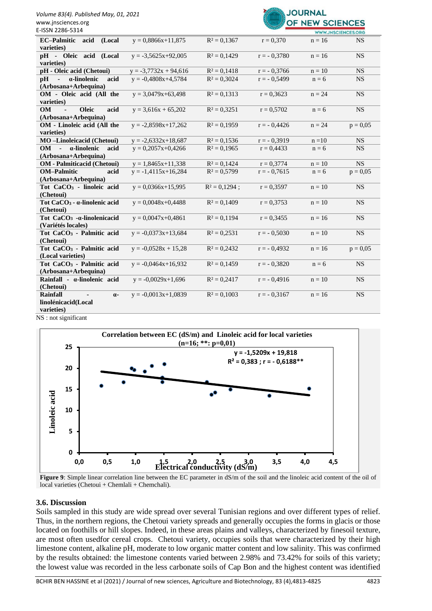

| E-ISSN 2286-5314                                                                                     |                         |                 |               |          | <b>WWW.JNSCIENCES.ORG</b> |
|------------------------------------------------------------------------------------------------------|-------------------------|-----------------|---------------|----------|---------------------------|
| <b>EC-Palmitic</b><br>acid<br>(Local<br>varieties)                                                   | $y = 0,8866x+11,875$    | $R^2 = 0.1367$  | $r = 0,370$   | $n = 16$ | <b>NS</b>                 |
| pH - Oleic acid (Local<br>varieties)                                                                 | $y = -3,5625x+92,005$   | $R^2 = 0.1429$  | $r = -0.3780$ | $n = 16$ | <b>NS</b>                 |
| pH - Oleic acid (Chetoui)                                                                            | $y = -3,7732x + 94,616$ | $R^2 = 0.1418$  | $r = -0.3766$ | $n = 10$ | <b>NS</b>                 |
| α-linolenic<br>acid<br>pH<br>$\blacksquare$                                                          | $y = -0.4808x + 4.5784$ | $R^2 = 0,3024$  | $r = -0.5499$ | $n = 6$  | <b>NS</b>                 |
| (Arbosana+Arbequina)                                                                                 |                         |                 |               |          |                           |
| OM - Oleic acid (All the<br>varieties)                                                               | $y = 3,0479x+63,498$    | $R^2 = 0.1313$  | $r = 0,3623$  | $n = 24$ | <b>NS</b>                 |
| <b>OM</b><br><b>Oleic</b><br>acid                                                                    | $y = 3,616x + 65,202$   | $R^2 = 0.3251$  | $r = 0,5702$  | $n = 6$  | <b>NS</b>                 |
| (Arbosana+Arbequina)                                                                                 |                         |                 |               |          |                           |
| OM - Linoleic acid (All the<br>varieties)                                                            | $y = -2,8598x+17,262$   | $R^2 = 0.1959$  | $r = -0.4426$ | $n = 24$ | $p = 0.05$                |
| MO-Linoleicacid (Chetoui)                                                                            | $y = -2,6332x+18,687$   | $R^2 = 0.1536$  | $r = -0.3919$ | $n = 10$ | <b>NS</b>                 |
| a-linolenic<br>OM<br>$\sim$<br>acid<br>(Arbosana+Arbequina)                                          | $y = 0,2057x+0,4266$    | $R^2 = 0,1965$  | $r = 0,4433$  | $n = 6$  | <b>NS</b>                 |
| <b>OM</b> - Palmiticacid (Chetoui)                                                                   | $y = 1,8465x+11,338$    | $R^2 = 0.1424$  | $r = 0,3774$  | $n = 10$ | <b>NS</b>                 |
| <b>OM-Palmitic</b><br>acid                                                                           | $y = -1,4115x+16,284$   | $R^2 = 0,5799$  | $r = -0,7615$ | $n = 6$  | $p = 0,05$                |
| (Arbosana+Arbequina)                                                                                 |                         |                 |               |          |                           |
| Tot CaCO <sub>3</sub> - linoleic acid                                                                | $y = 0,0366x+15,995$    | $R^2 = 0,1294;$ | $r = 0,3597$  | $n = 10$ | <b>NS</b>                 |
| (Chetoui)                                                                                            |                         |                 |               |          |                           |
| Tot CaCO <sub>3</sub> - α-linolenic acid<br>(Chetoui)                                                | $y = 0,0048x+0,4488$    | $R^2 = 0,1409$  | $r = 0.3753$  | $n = 10$ | <b>NS</b>                 |
| Tot CaCO <sub>3</sub> - a-linolenicacid<br>(Variétés locales)                                        | $y = 0,0047x+0,4861$    | $R^2 = 0,1194$  | $r = 0,3455$  | $n = 16$ | <b>NS</b>                 |
| Tot CaCO <sub>3</sub> - Palmitic acid<br>(Chetoui)                                                   | $y = -0.0373x+13.684$   | $R^2 = 0,2531$  | $r = -0.5030$ | $n = 10$ | <b>NS</b>                 |
| Tot CaCO <sub>3</sub> - Palmitic acid<br>(Local varieties)                                           | $y = -0.0528x + 15.28$  | $R^2 = 0,2432$  | $r = -0,4932$ | $n = 16$ | $p = 0.05$                |
| Tot CaCO <sub>3</sub> - Palmitic acid<br>(Arbosana+Arbequina)                                        | $y = -0.0464x+16.932$   | $R^2 = 0.1459$  | $r = -0.3820$ | $n = 6$  | <b>NS</b>                 |
| Rainfall - a-linolenic acid<br>(Chetoui)                                                             | $y = -0,0029x+1,696$    | $R^2 = 0,2417$  | $r = -0,4916$ | $n = 10$ | <b>NS</b>                 |
| <b>Rainfall</b><br>$\alpha$ -<br>linolénicacid(Local                                                 | $y = -0.0013x+1.0839$   | $R^2 = 0,1003$  | $r = -0,3167$ | $n = 16$ | <b>NS</b>                 |
| varieties)<br>$\mathbf{M} \mathbf{C}$ , $\mathbf{C} = \mathbf{A} \mathbf{C} + \mathbf{C} \mathbf{C}$ |                         |                 |               |          |                           |
|                                                                                                      |                         |                 |               |          |                           |





**Figure 9**: Simple linear correlation line between the EC parameter in dS/m of the soil and the linoleic acid content of the oil of local varieties (Chetoui + Chemlali + Chemchali).

#### **3.6. Discussion**

Soils sampled in this study are wide spread over several Tunisian regions and over different types of relief. Thus, in the northern regions, the Chetoui variety spreads and generally occupies the forms in glacis or those located on foothills or hill slopes. Indeed, in these areas plains and valleys, characterized by finesoil texture, are most often usedfor cereal crops. Chetoui variety, occupies soils that were characterized by their high limestone content, alkaline pH, moderate to low organic matter content and low salinity. This was confirmed by the results obtained: the limestone contents varied between 2.98% and 73.42% for soils of this variety; the lowest value was recorded in the less carbonate soils of Cap Bon and the highest content was identified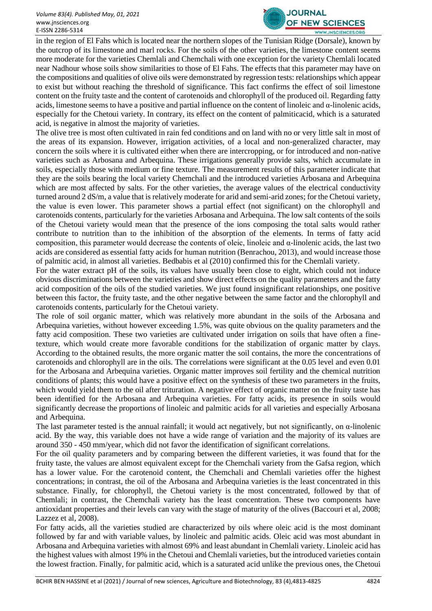

in the region of El Fahs which is located near the northern slopes of the Tunisian Ridge (Dorsale), known by the outcrop of its limestone and marl rocks. For the soils of the other varieties, the limestone content seems more moderate for the varieties Chemlali and Chemchali with one exception for the variety Chemlali located near Nadhour whose soils show similarities to those of El Fahs. The effects that this parameter may have on the compositions and qualities of olive oils were demonstrated by regression tests: relationships which appear to exist but without reaching the threshold of significance. This fact confirms the effect of soil limestone content on the fruity taste and the content of carotenoids and chlorophyll of the produced oil. Regarding fatty acids, limestone seems to have a positive and partial influence on the content of linoleic and  $\alpha$ -linolenic acids, especially for the Chetoui variety. In contrary, its effect on the content of palmiticacid, which is a saturated acid, is negative in almost the majority of varieties.

The olive tree is most often cultivated in rain fed conditions and on land with no or very little salt in most of the areas of its expansion. However, irrigation activities, of a local and non-generalized character, may concern the soils where it is cultivated either when there are intercropping, or for introduced and non-native varieties such as Arbosana and Arbequina. These irrigations generally provide salts, which accumulate in soils, especially those with medium or fine texture. The measurement results of this parameter indicate that they are the soils bearing the local variety Chemchali and the introduced varieties Arbosana and Arbequina which are most affected by salts. For the other varieties, the average values of the electrical conductivity turned around 2 dS/m, a value that is relatively moderate for arid and semi-arid zones; for the Chetoui variety, the value is even lower. This parameter shows a partial effect (not significant) on the chlorophyll and carotenoids contents, particularly for the varieties Arbosana and Arbequina. The low salt contents of the soils of the Chetoui variety would mean that the presence of the ions composing the total salts would rather contribute to nutrition than to the inhibition of the absorption of the elements. In terms of fatty acid composition, this parameter would decrease the contents of oleic, linoleic and  $\alpha$ -linolenic acids, the last two acids are considered as essential fatty acids for human nutrition (Benrachou, 2013), and would increase those of palmitic acid, in almost all varieties. Bedbabis et al (2010) confirmed this for the Chemlali variety.

For the water extract pH of the soils, its values have usually been close to eight, which could not induce obvious discriminations between the varieties and show direct effects on the quality parameters and the fatty acid composition of the oils of the studied varieties. We just found insignificant relationships, one positive between this factor, the fruity taste, and the other negative between the same factor and the chlorophyll and carotenoids contents, particularly for the Chetoui variety.

The role of soil organic matter, which was relatively more abundant in the soils of the Arbosana and Arbequina varieties, without however exceeding 1.5%, was quite obvious on the quality parameters and the fatty acid composition. These two varieties are cultivated under irrigation on soils that have often a finetexture, which would create more favorable conditions for the stabilization of organic matter by clays. According to the obtained results, the more organic matter the soil contains, the more the concentrations of carotenoids and chlorophyll are in the oils. The correlations were significant at the 0.05 level and even 0.01 for the Arbosana and Arbequina varieties. Organic matter improves soil fertility and the chemical nutrition conditions of plants; this would have a positive effect on the synthesis of these two parameters in the fruits, which would yield them to the oil after trituration. A negative effect of organic matter on the fruity taste has been identified for the Arbosana and Arbequina varieties. For fatty acids, its presence in soils would significantly decrease the proportions of linoleic and palmitic acids for all varieties and especially Arbosana and Arbequina.

The last parameter tested is the annual rainfall; it would act negatively, but not significantly, on  $\alpha$ -linolenic acid. By the way, this variable does not have a wide range of variation and the majority of its values are around 350 - 450 mm/year, which did not favor the identification of significant correlations.

For the oil quality parameters and by comparing between the different varieties, it was found that for the fruity taste, the values are almost equivalent except for the Chemchali variety from the Gafsa region, which has a lower value. For the carotenoid content, the Chemchali and Chemlali varieties offer the highest concentrations; in contrast, the oil of the Arbosana and Arbequina varieties is the least concentrated in this substance. Finally, for chlorophyll, the Chetoui variety is the most concentrated, followed by that of Chemlali; in contrast, the Chemchali variety has the least concentration. These two components have antioxidant properties and their levels can vary with the stage of maturity of the olives (Baccouri et al, 2008; Lazzez et al, 2008).

For fatty acids, all the varieties studied are characterized by oils where oleic acid is the most dominant followed by far and with variable values, by linoleic and palmitic acids. Oleic acid was most abundant in Arbosana and Arbequina varieties with almost 69% and least abundant in Chemlali variety. Linoleic acid has the highest values with almost 19% in the Chetoui and Chemlali varieties, but the introduced varieties contain the lowest fraction. Finally, for palmitic acid, which is a saturated acid unlike the previous ones, the Chetoui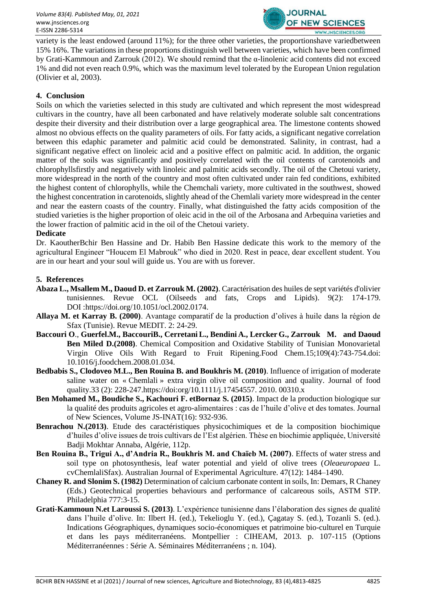

variety is the least endowed (around 11%); for the three other varieties, the proportionshave variedbetween 15% 16%. The variations in these proportions distinguish well between varieties, which have been confirmed by Grati-Kammoun and Zarrouk (2012). We should remind that the α-linolenic acid contents did not exceed 1% and did not even reach 0.9%, which was the maximum level tolerated by the European Union regulation (Olivier et al, 2003).

#### **4. Conclusion**

Soils on which the varieties selected in this study are cultivated and which represent the most widespread cultivars in the country, have all been carbonated and have relatively moderate soluble salt concentrations despite their diversity and their distribution over a large geographical area. The limestone contents showed almost no obvious effects on the quality parameters of oils. For fatty acids, a significant negative correlation between this edaphic parameter and palmitic acid could be demonstrated. Salinity, in contrast, had a significant negative effect on linoleic acid and a positive effect on palmitic acid. In addition, the organic matter of the soils was significantly and positively correlated with the oil contents of carotenoids and chlorophyllsfirstly and negatively with linoleic and palmitic acids secondly. The oil of the Chetoui variety, more widespread in the north of the country and most often cultivated under rain fed conditions, exhibited the highest content of chlorophylls, while the Chemchali variety, more cultivated in the southwest, showed the highest concentration in carotenoids, slightly ahead of the Chemlali variety more widespread in the center and near the eastern coasts of the country. Finally, what distinguished the fatty acids composition of the studied varieties is the higher proportion of oleic acid in the oil of the Arbosana and Arbequina varieties and the lower fraction of palmitic acid in the oil of the Chetoui variety.

#### **Dedicate**

Dr. KaoutherBchir Ben Hassine and Dr. Habib Ben Hassine dedicate this work to the memory of the agricultural Engineer "Houcem El Mabrouk" who died in 2020. Rest in peace, dear excellent student. You are in our heart and your soul will guide us. You are with us forever.

#### **5. References**

- **Abaza L., Msallem M., Daoud D. et Zarrouk M. (2002)**. Caractérisation des huiles de sept variétés d'olivier tunisiennes. Revue OCL (Oilseeds and fats, Crops and Lipids). 9(2): 174-179. DOI [:https://doi.org/10.1051/ocl.2002.0174.](https://doi.org/10.1051/ocl.2002.0174)
- **Allaya M. et Karray B. (2000)**. Avantage comparatif de la production d'olives à huile dans la région de Sfax (Tunisie). Revue MEDIT. 2: 24-29.
- **[Baccouri](https://pubmed.ncbi.nlm.nih.gov/?term=Baccouri+O&cauthor_id=26049987) [O](https://pubmed.ncbi.nlm.nih.gov/26049987/#affiliation-1)**., **[Guerfel.](https://pubmed.ncbi.nlm.nih.gov/?term=Guerfel+M&cauthor_id=26049987)M., [BaccouriB](https://pubmed.ncbi.nlm.nih.gov/?term=Baccouri+B&cauthor_id=26049987)., [Cerretani](https://pubmed.ncbi.nlm.nih.gov/?term=Cerretani+L&cauthor_id=26049987) [L.,](https://pubmed.ncbi.nlm.nih.gov/26049987/#affiliation-2) [Bendini](https://pubmed.ncbi.nlm.nih.gov/?term=Bendini+A&cauthor_id=26049987) A., [Lercker](https://pubmed.ncbi.nlm.nih.gov/?term=Lercker+G&cauthor_id=26049987) G., [Zarrouk](https://pubmed.ncbi.nlm.nih.gov/?term=Zarrouk+M&cauthor_id=26049987) M. and [Daoud](https://pubmed.ncbi.nlm.nih.gov/?term=Daoud+Ben+Miled+D&cauthor_id=26049987)  [Ben Miled](https://pubmed.ncbi.nlm.nih.gov/?term=Daoud+Ben+Miled+D&cauthor_id=26049987) D.(2008)**. Chemical Composition and Oxidative Stability of Tunisian Monovarietal Virgin Olive Oils With Regard to Fruit Ripening.Food Chem.15;109(4):743-754.doi: 10.1016/j.foodchem.2008.01.034.
- **Bedbabis S., Clodoveo M.L., Ben Rouina B. and Boukhris M. (2010)**. Influence of irrigation of moderate saline water on « Chemlali » extra virgin olive oil composition and quality. Journal of food qualit[y.33 \(2\)](file:///D:/Bureau%20Asus%202019/Articles%202019/Article%20kawther%202020/Version%20finale/33%20(2): 228-247.https:/[/doi:org/10.1111/j.17454557. 2010. 00310.x](https://doi:org/10.1111/j.17454557.%202010.%2000310.x)
- **Ben Mohamed M., Boudiche S., Kachouri F. etBornaz S. (2015)**. Impact de la production biologique sur la qualité des produits agricoles et agro-alimentaires : cas de l'huile d'olive et des tomates. Journal of New Sciences, Volume JS-INAT(16): 932-936.
- **Benrachou N.(2013)**. Etude des caractéristiques physicochimiques et de la composition biochimique d'huiles d'olive issues de trois cultivars de l'Est algérien. Thèse en biochimie appliquée, Université Badji Mokhtar Annaba, Algérie, 112p.
- **Ben Rouina B., Trigui A., d'Andria R., Boukhris M. and Chaïeb M. (2007)**. Effects of water stress and soil type on photosynthesis, leaf water potential and yield of olive trees (*Oleaeuropaea* L. cvChemlaliSfax). Australian Journal of Experimental Agriculture. 47(12): 1484–1490.
- **Chaney R. and Slonim S. (1982)** Determination of calcium carbonate content in soils, In: Demars, R Chaney (Eds.) Geotechnical properties behaviours and performance of calcareous soils, ASTM STP. Philadelphia 777:3-15.
- **Grati-Kammoun N.et Laroussi S. (2013)**. L'expérience tunisienne dans l'élaboration des signes de qualité dans l'huile d'olive. In: Ilbert H. (ed.), Tekelioglu Y. (ed.), Çagatay S. (ed.), Tozanli S. (ed.). Indications Géographiques, dynamiques socio-économiques et patrimoine bio-culturel en Turquie et dans les pays méditerranéens. Montpellier : CIHEAM, 2013. p. 107-115 (Options Méditerranéennes : Série A. Séminaires Méditerranéens ; n. 104).